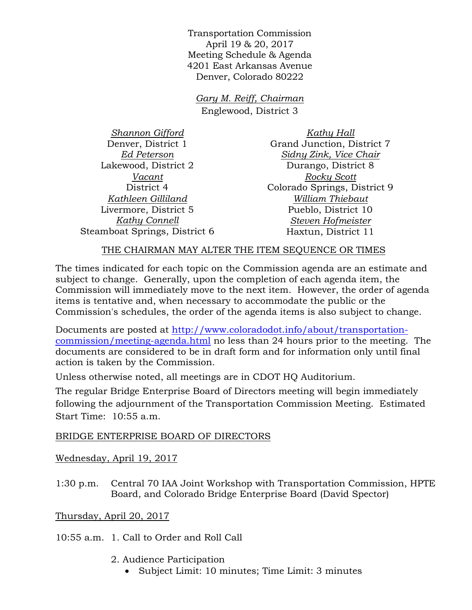Transportation Commission April 19 & 20, 2017 Meeting Schedule & Agenda 4201 East Arkansas Avenue Denver, Colorado 80222

*Gary M. Reiff, Chairman* Englewood, District 3

*Shannon Gifford* Denver, District 1 *Ed Peterson* Lakewood, District 2 *Vacant* District 4 *Kathleen Gilliland* Livermore, District 5 *Kathy Connell* Steamboat Springs, District 6

*Kathy Hall* Grand Junction, District 7 *Sidny Zink, Vice Chair* Durango, District 8 *Rocky Scott* Colorado Springs, District 9 *William Thiebaut* Pueblo, District 10 *Steven Hofmeister* Haxtun, District 11

## THE CHAIRMAN MAY ALTER THE ITEM SEQUENCE OR TIMES

The times indicated for each topic on the Commission agenda are an estimate and subject to change. Generally, upon the completion of each agenda item, the Commission will immediately move to the next item. However, the order of agenda items is tentative and, when necessary to accommodate the public or the Commission's schedules, the order of the agenda items is also subject to change.

Documents are posted at http://www.coloradodot.info/about/transportationcommission/meeting-agenda.html no less than 24 hours prior to the meeting. The documents are considered to be in draft form and for information only until final action is taken by the Commission.

Unless otherwise noted, all meetings are in CDOT HQ Auditorium.

The regular Bridge Enterprise Board of Directors meeting will begin immediately following the adjournment of the Transportation Commission Meeting. Estimated Start Time: 10:55 a.m.

## BRIDGE ENTERPRISE BOARD OF DIRECTORS

Wednesday, April 19, 2017

1:30 p.m. Central 70 IAA Joint Workshop with Transportation Commission, HPTE Board, and Colorado Bridge Enterprise Board (David Spector)

Thursday, April 20, 2017

10:55 a.m. 1. Call to Order and Roll Call

- 2. Audience Participation
	- Subject Limit: 10 minutes; Time Limit: 3 minutes